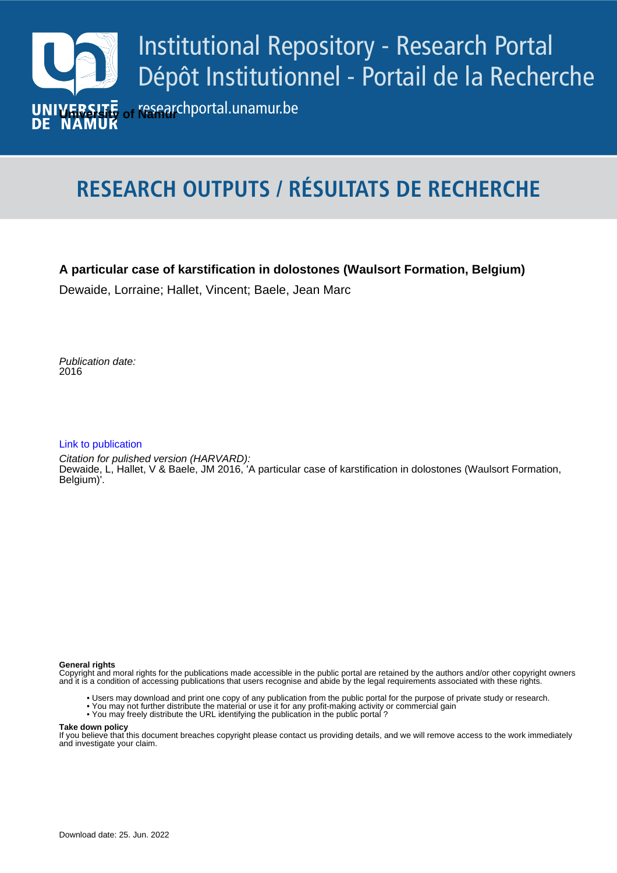

# **RESEARCH OUTPUTS / RÉSULTATS DE RECHERCHE**

### **A particular case of karstification in dolostones (Waulsort Formation, Belgium)**

Dewaide, Lorraine; Hallet, Vincent; Baele, Jean Marc

Publication date:<br><sup>2016</sup> 2016

#### [Link to publication](https://researchportal.unamur.be/fr/publications/7f558d81-0a34-43cb-b00c-b33e8b4ad7ff)

**Publication date - Date de publication :** Citation for pulished version (HARVARD): Dewaide, L, Hallet, V & Baele, JM 2016, 'A particular case of karstification in dolostones (Waulsort Formation, Belgium)'.

#### **General rights**

Copyright and moral rights for the publications made accessible in the public portal are retained by the authors and/or other copyright owners and it is a condition of accessing publications that users recognise and abide by the legal requirements associated with these rights.

- Users may download and print one copy of any publication from the public portal for the purpose of private study or research.
- You may not further distribute the material or use it for any profit-making activity or commercial gain
- You may freely distribute the URL identifying the publication in the public portal ?

#### **Take down policy**

If you believe that this document breaches copyright please contact us providing details, and we will remove access to the work immediately and investigate your claim.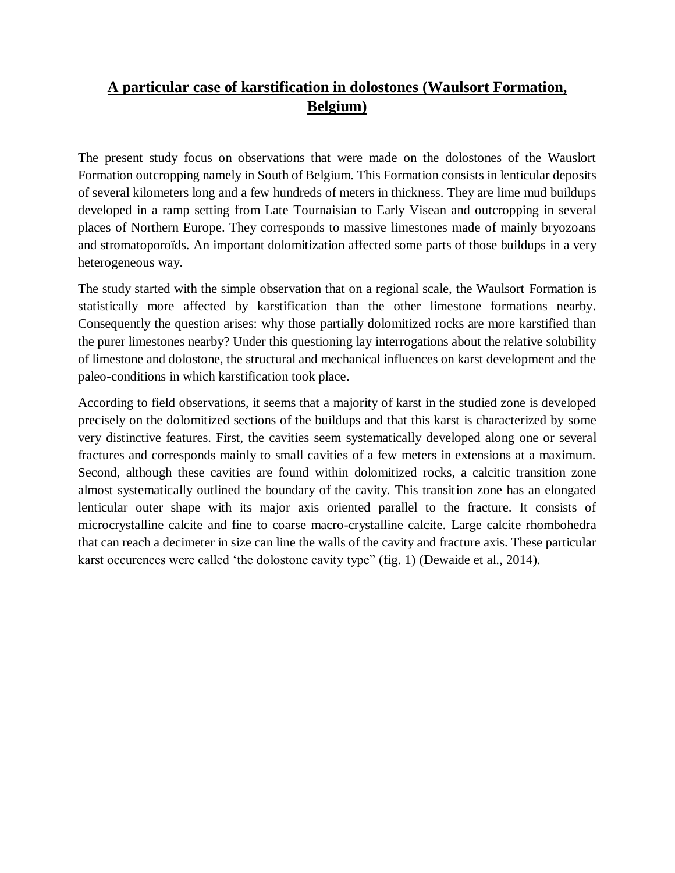# **A particular case of karstification in dolostones (Waulsort Formation, Belgium)**

The present study focus on observations that were made on the dolostones of the Wauslort Formation outcropping namely in South of Belgium. This Formation consists in lenticular deposits of several kilometers long and a few hundreds of meters in thickness. They are lime mud buildups developed in a ramp setting from Late Tournaisian to Early Visean and outcropping in several places of Northern Europe. They corresponds to massive limestones made of mainly bryozoans and stromatoporoïds. An important dolomitization affected some parts of those buildups in a very heterogeneous way.

The study started with the simple observation that on a regional scale, the Waulsort Formation is statistically more affected by karstification than the other limestone formations nearby. Consequently the question arises: why those partially dolomitized rocks are more karstified than the purer limestones nearby? Under this questioning lay interrogations about the relative solubility of limestone and dolostone, the structural and mechanical influences on karst development and the paleo-conditions in which karstification took place.

According to field observations, it seems that a majority of karst in the studied zone is developed precisely on the dolomitized sections of the buildups and that this karst is characterized by some very distinctive features. First, the cavities seem systematically developed along one or several fractures and corresponds mainly to small cavities of a few meters in extensions at a maximum. Second, although these cavities are found within dolomitized rocks, a calcitic transition zone almost systematically outlined the boundary of the cavity. This transition zone has an elongated lenticular outer shape with its major axis oriented parallel to the fracture. It consists of microcrystalline calcite and fine to coarse macro-crystalline calcite. Large calcite rhombohedra that can reach a decimeter in size can line the walls of the cavity and fracture axis. These particular karst occurences were called 'the dolostone cavity type" (fig. 1) (Dewaide et al., 2014).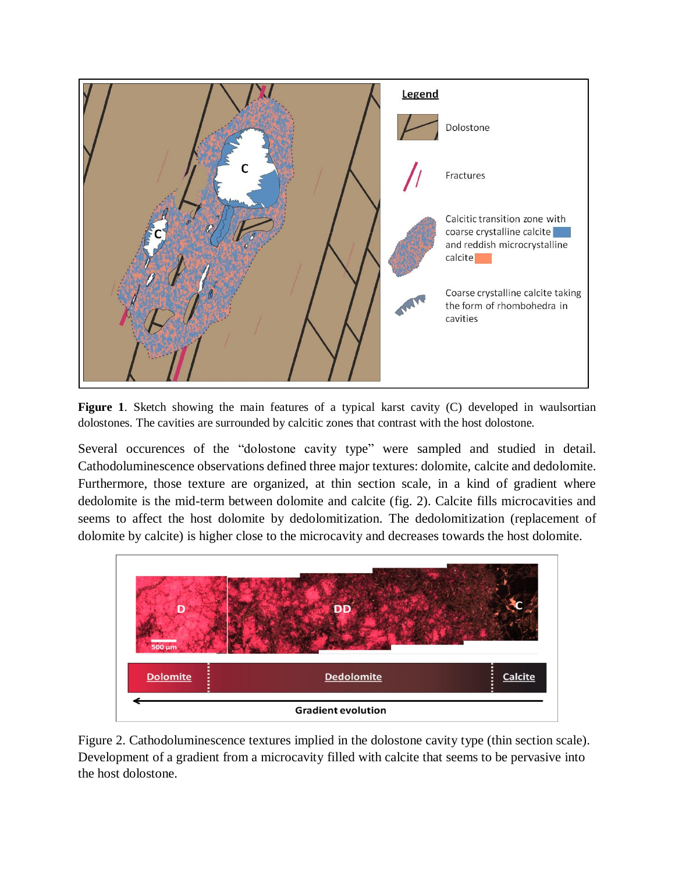

**Figure 1**. Sketch showing the main features of a typical karst cavity (C) developed in waulsortian dolostones. The cavities are surrounded by calcitic zones that contrast with the host dolostone.

Several occurences of the "dolostone cavity type" were sampled and studied in detail. Cathodoluminescence observations defined three major textures: dolomite, calcite and dedolomite. Furthermore, those texture are organized, at thin section scale, in a kind of gradient where dedolomite is the mid-term between dolomite and calcite (fig. 2). Calcite fills microcavities and seems to affect the host dolomite by dedolomitization. The dedolomitization (replacement of dolomite by calcite) is higher close to the microcavity and decreases towards the host dolomite.



Figure 2. Cathodoluminescence textures implied in the dolostone cavity type (thin section scale). Development of a gradient from a microcavity filled with calcite that seems to be pervasive into the host dolostone.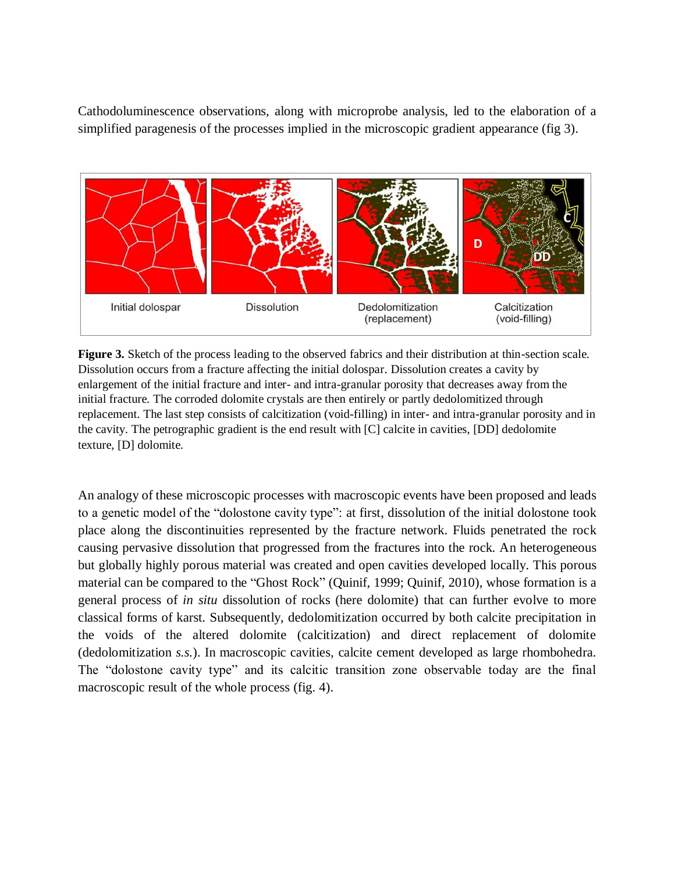Cathodoluminescence observations, along with microprobe analysis, led to the elaboration of a simplified paragenesis of the processes implied in the microscopic gradient appearance (fig 3).



**Figure 3.** Sketch of the process leading to the observed fabrics and their distribution at thin-section scale. Dissolution occurs from a fracture affecting the initial dolospar. Dissolution creates a cavity by enlargement of the initial fracture and inter- and intra-granular porosity that decreases away from the initial fracture. The corroded dolomite crystals are then entirely or partly dedolomitized through replacement. The last step consists of calcitization (void-filling) in inter- and intra-granular porosity and in the cavity. The petrographic gradient is the end result with [C] calcite in cavities, [DD] dedolomite texture, [D] dolomite.

An analogy of these microscopic processes with macroscopic events have been proposed and leads to a genetic model of the "dolostone cavity type": at first, dissolution of the initial dolostone took place along the discontinuities represented by the fracture network. Fluids penetrated the rock causing pervasive dissolution that progressed from the fractures into the rock. An heterogeneous but globally highly porous material was created and open cavities developed locally. This porous material can be compared to the "Ghost Rock" (Quinif, 1999; Quinif, 2010), whose formation is a general process of *in situ* dissolution of rocks (here dolomite) that can further evolve to more classical forms of karst. Subsequently, dedolomitization occurred by both calcite precipitation in the voids of the altered dolomite (calcitization) and direct replacement of dolomite (dedolomitization *s.s.*). In macroscopic cavities, calcite cement developed as large rhombohedra. The "dolostone cavity type" and its calcitic transition zone observable today are the final macroscopic result of the whole process (fig. 4).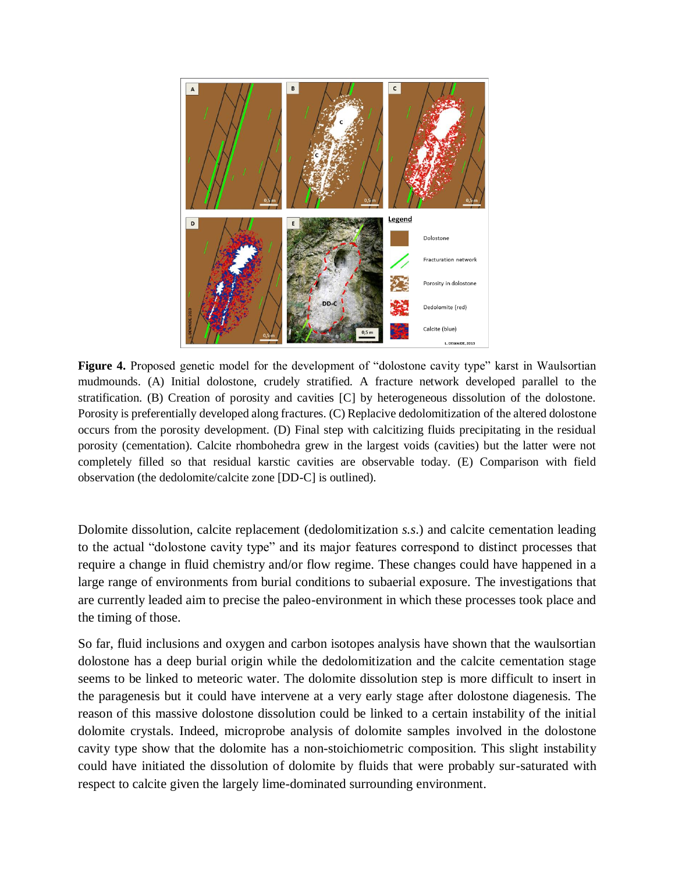

**Figure 4.** Proposed genetic model for the development of "dolostone cavity type" karst in Waulsortian mudmounds. (A) Initial dolostone, crudely stratified. A fracture network developed parallel to the stratification. (B) Creation of porosity and cavities [C] by heterogeneous dissolution of the dolostone. Porosity is preferentially developed along fractures. (C) Replacive dedolomitization of the altered dolostone occurs from the porosity development. (D) Final step with calcitizing fluids precipitating in the residual porosity (cementation). Calcite rhombohedra grew in the largest voids (cavities) but the latter were not completely filled so that residual karstic cavities are observable today. (E) Comparison with field observation (the dedolomite/calcite zone [DD-C] is outlined).

Dolomite dissolution, calcite replacement (dedolomitization *s.s*.) and calcite cementation leading to the actual "dolostone cavity type" and its major features correspond to distinct processes that require a change in fluid chemistry and/or flow regime. These changes could have happened in a large range of environments from burial conditions to subaerial exposure. The investigations that are currently leaded aim to precise the paleo-environment in which these processes took place and the timing of those.

So far, fluid inclusions and oxygen and carbon isotopes analysis have shown that the waulsortian dolostone has a deep burial origin while the dedolomitization and the calcite cementation stage seems to be linked to meteoric water. The dolomite dissolution step is more difficult to insert in the paragenesis but it could have intervene at a very early stage after dolostone diagenesis. The reason of this massive dolostone dissolution could be linked to a certain instability of the initial dolomite crystals. Indeed, microprobe analysis of dolomite samples involved in the dolostone cavity type show that the dolomite has a non-stoichiometric composition. This slight instability could have initiated the dissolution of dolomite by fluids that were probably sur-saturated with respect to calcite given the largely lime-dominated surrounding environment.